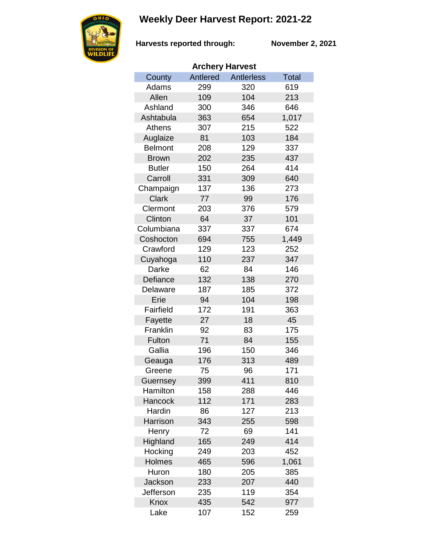## **Weekly Deer Harvest Report: 2021-22**



**Harvests reported through:** 

**November 2, 2021**

| <b>Archery Harvest</b> |          |                   |       |  |  |  |  |
|------------------------|----------|-------------------|-------|--|--|--|--|
| County                 | Antlered | <b>Antlerless</b> | Total |  |  |  |  |
| Adams                  | 299      | 320               | 619   |  |  |  |  |
| Allen                  | 109      | 104               | 213   |  |  |  |  |
| Ashland                | 300      | 346               | 646   |  |  |  |  |
| Ashtabula              | 363      | 654               | 1,017 |  |  |  |  |
| Athens                 | 307      | 215               | 522   |  |  |  |  |
| Auglaize               | 81       | 103               | 184   |  |  |  |  |
| <b>Belmont</b>         | 208      | 129               | 337   |  |  |  |  |
| <b>Brown</b>           | 202      | 235               | 437   |  |  |  |  |
| <b>Butler</b>          | 150      | 264               | 414   |  |  |  |  |
| Carroll                | 331      | 309               | 640   |  |  |  |  |
| Champaign              | 137      | 136               | 273   |  |  |  |  |
| <b>Clark</b>           | 77       | 99                | 176   |  |  |  |  |
| Clermont               | 203      | 376               | 579   |  |  |  |  |
| Clinton                | 64       | 37                | 101   |  |  |  |  |
| Columbiana             | 337      | 337               | 674   |  |  |  |  |
| Coshocton              | 694      | 755               | 1,449 |  |  |  |  |
| Crawford               | 129      | 123               | 252   |  |  |  |  |
| Cuyahoga               | 110      | 237               | 347   |  |  |  |  |
| Darke                  | 62       | 84                | 146   |  |  |  |  |
| Defiance               | 132      | 138               | 270   |  |  |  |  |
| Delaware               | 187      | 185               | 372   |  |  |  |  |
| Erie                   | 94       | 104               | 198   |  |  |  |  |
| Fairfield              | 172      | 191               | 363   |  |  |  |  |
| Fayette                | 27       | 18                | 45    |  |  |  |  |
| Franklin               | 92       | 83                | 175   |  |  |  |  |
| Fulton                 | 71       | 84                | 155   |  |  |  |  |
| Gallia                 | 196      | 150               | 346   |  |  |  |  |
| Geauga                 | 176      | 313               | 489   |  |  |  |  |
| Greene                 | 75       | 96                | 171   |  |  |  |  |
| Guernsey               | 399      | 411               | 810   |  |  |  |  |
| Hamilton               | 158      | 288               | 446   |  |  |  |  |
| Hancock                | 112      | 171               | 283   |  |  |  |  |
| Hardin                 | 86       | 127               | 213   |  |  |  |  |
| Harrison               | 343      | 255               | 598   |  |  |  |  |
| Henry                  | 72       | 69                | 141   |  |  |  |  |
| Highland               | 165      | 249               | 414   |  |  |  |  |
| Hocking                | 249      | 203               | 452   |  |  |  |  |
| <b>Holmes</b>          | 465      | 596               | 1,061 |  |  |  |  |
| Huron                  | 180      | 205               | 385   |  |  |  |  |
| <b>Jackson</b>         | 233      | 207               | 440   |  |  |  |  |
| Jefferson              | 235      | 119               | 354   |  |  |  |  |
| Knox                   | 435      | 542               | 977   |  |  |  |  |
| Lake                   | 107      | 152               | 259   |  |  |  |  |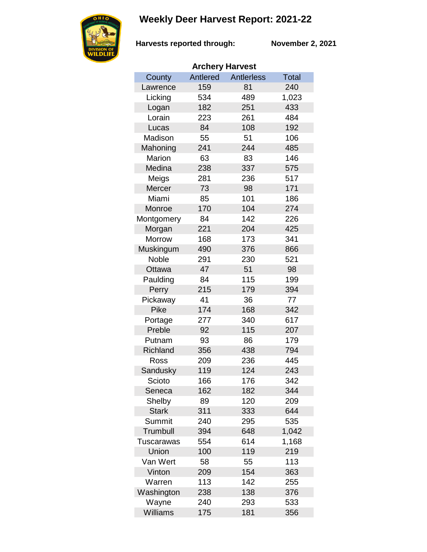## **Weekly Deer Harvest Report: 2021-22**



**Harvests reported through:** 

**November 2, 2021**

| <b>Archery Harvest</b> |          |                   |              |  |  |  |  |
|------------------------|----------|-------------------|--------------|--|--|--|--|
| County                 | Antlered | <b>Antlerless</b> | <b>Total</b> |  |  |  |  |
| Lawrence               | 159      | 81                | 240          |  |  |  |  |
| Licking                | 534      | 489               | 1,023        |  |  |  |  |
| Logan                  | 182      | 251               | 433          |  |  |  |  |
| Lorain                 | 223      | 261               | 484          |  |  |  |  |
| Lucas                  | 84       | 108               | 192          |  |  |  |  |
| Madison                | 55       | 51                | 106          |  |  |  |  |
| Mahoning               | 241      | 244               | 485          |  |  |  |  |
| Marion                 | 63       | 83                | 146          |  |  |  |  |
| Medina                 | 238      | 337               | 575          |  |  |  |  |
| Meigs                  | 281      | 236               | 517          |  |  |  |  |
| Mercer                 | 73       | 98                | 171          |  |  |  |  |
| Miami                  | 85       | 101               | 186          |  |  |  |  |
| Monroe                 | 170      | 104               | 274          |  |  |  |  |
| Montgomery             | 84       | 142               | 226          |  |  |  |  |
| Morgan                 | 221      | 204               | 425          |  |  |  |  |
| <b>Morrow</b>          | 168      | 173               | 341          |  |  |  |  |
| Muskingum              | 490      | 376               | 866          |  |  |  |  |
| <b>Noble</b>           | 291      | 230               | 521          |  |  |  |  |
| Ottawa                 | 47       | 51                | 98           |  |  |  |  |
| Paulding               | 84       | 115               | 199          |  |  |  |  |
| Perry                  | 215      | 179               | 394          |  |  |  |  |
| Pickaway               | 41       | 36                | 77           |  |  |  |  |
| <b>Pike</b>            | 174      | 168               | 342          |  |  |  |  |
| Portage                | 277      | 340               | 617          |  |  |  |  |
| Preble                 | 92       | 115               | 207          |  |  |  |  |
| Putnam                 | 93       | 86                | 179          |  |  |  |  |
| <b>Richland</b>        | 356      | 438               | 794          |  |  |  |  |
| Ross                   | 209      | 236               | 445          |  |  |  |  |
| Sandusky               | 119      | 124               | 243          |  |  |  |  |
| Scioto                 | 166      | 176               | 342          |  |  |  |  |
| Seneca                 | 162      | 182               | 344          |  |  |  |  |
| Shelby                 | 89       | 120               | 209          |  |  |  |  |
| <b>Stark</b>           | 311      | 333               | 644          |  |  |  |  |
| Summit                 | 240      | 295               | 535          |  |  |  |  |
| Trumbull               | 394      | 648               | 1,042        |  |  |  |  |
| Tuscarawas             | 554      | 614               | 1,168        |  |  |  |  |
| Union                  | 100      | 119               | 219          |  |  |  |  |
| Van Wert               | 58       | 55                | 113          |  |  |  |  |
| Vinton                 | 209      | 154               | 363          |  |  |  |  |
| Warren                 | 113      | 142               | 255          |  |  |  |  |
| Washington             | 238      | 138               | 376          |  |  |  |  |
| Wayne                  | 240      | 293               | 533          |  |  |  |  |
| Williams               | 175      | 181               | 356          |  |  |  |  |